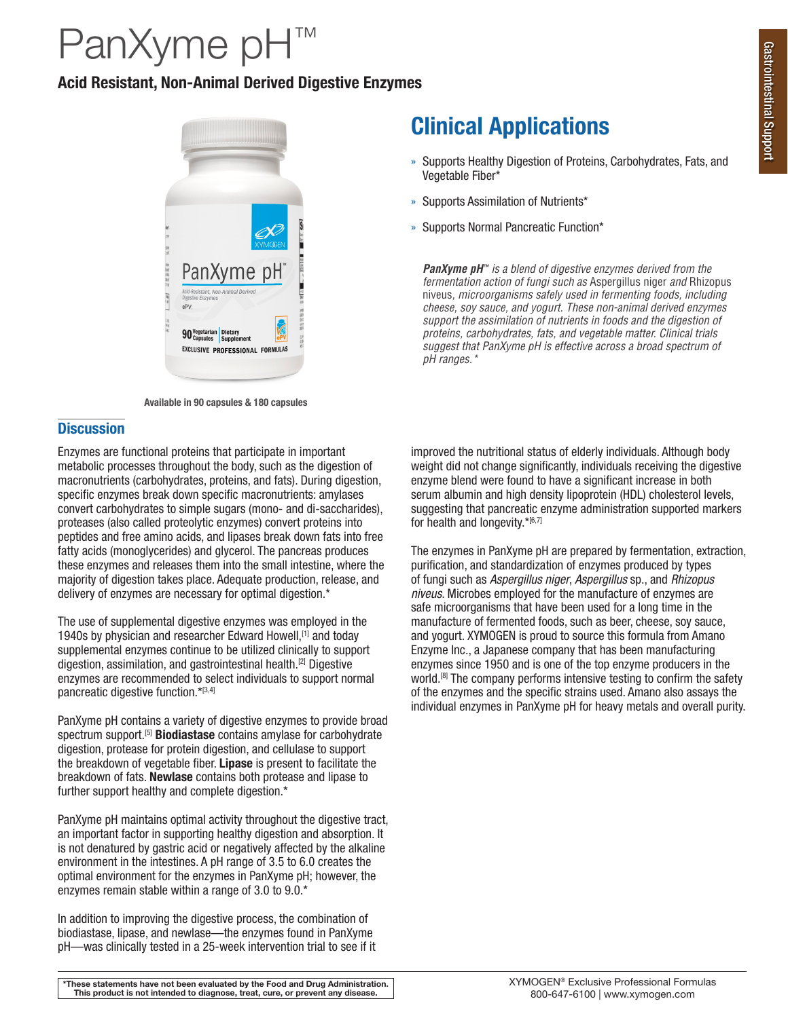# PanXyme pH™

## Acid Resistant, Non-Animal Derived Digestive Enzymes



Available in 90 capsules & 180 capsules

## **Discussion**

Enzymes are functional proteins that participate in important metabolic processes throughout the body, such as the digestion of macronutrients (carbohydrates, proteins, and fats). During digestion, specific enzymes break down specific macronutrients: amylases convert carbohydrates to simple sugars (mono- and di-saccharides), proteases (also called proteolytic enzymes) convert proteins into peptides and free amino acids, and lipases break down fats into free fatty acids (monoglycerides) and glycerol. The pancreas produces these enzymes and releases them into the small intestine, where the majority of digestion takes place. Adequate production, release, and delivery of enzymes are necessary for optimal digestion.\*

The use of supplemental digestive enzymes was employed in the 1940s by physician and researcher Edward Howell, [1] and today supplemental enzymes continue to be utilized clinically to support digestion, assimilation, and gastrointestinal health.[2] Digestive enzymes are recommended to select individuals to support normal pancreatic digestive function.\*[3,4]

PanXyme pH contains a variety of digestive enzymes to provide broad spectrum support.<sup>[5]</sup> Biodiastase contains amylase for carbohydrate digestion, protease for protein digestion, and cellulase to support the breakdown of vegetable fiber. Lipase is present to facilitate the breakdown of fats. Newlase contains both protease and lipase to further support healthy and complete digestion.\*

PanXyme pH maintains optimal activity throughout the digestive tract, an important factor in supporting healthy digestion and absorption. It is not denatured by gastric acid or negatively affected by the alkaline environment in the intestines. A pH range of 3.5 to 6.0 creates the optimal environment for the enzymes in PanXyme pH; however, the enzymes remain stable within a range of 3.0 to 9.0.\*

In addition to improving the digestive process, the combination of biodiastase, lipase, and newlase—the enzymes found in PanXyme pH—was clinically tested in a 25-week intervention trial to see if it

## Clinical Applications

- » Supports Healthy Digestion of Proteins, Carbohydrates, Fats, and Vegetable Fiber\*
- » Supports Assimilation of Nutrients\*
- » Supports Normal Pancreatic Function\*

*PanXyme pH™ is a blend of digestive enzymes derived from the fermentation action of fungi such as* Aspergillus niger *and* Rhizopus niveus*, microorganisms safely used in fermenting foods, including cheese, soy sauce, and yogurt. These non-animal derived enzymes support the assimilation of nutrients in foods and the digestion of proteins, carbohydrates, fats, and vegetable matter. Clinical trials suggest that PanXyme pH is effective across a broad spectrum of pH ranges.\**

improved the nutritional status of elderly individuals. Although body weight did not change significantly, individuals receiving the digestive enzyme blend were found to have a significant increase in both serum albumin and high density lipoprotein (HDL) cholesterol levels, suggesting that pancreatic enzyme administration supported markers for health and longevity.\*[6,7]

The enzymes in PanXyme pH are prepared by fermentation, extraction, purification, and standardization of enzymes produced by types of fungi such as *Aspergillus niger*, *Aspergillus* sp., and *Rhizopus niveus*. Microbes employed for the manufacture of enzymes are safe microorganisms that have been used for a long time in the manufacture of fermented foods, such as beer, cheese, soy sauce, and yogurt. XYMOGEN is proud to source this formula from Amano Enzyme Inc., a Japanese company that has been manufacturing enzymes since 1950 and is one of the top enzyme producers in the world.<sup>[8]</sup> The company performs intensive testing to confirm the safety of the enzymes and the specific strains used. Amano also assays the individual enzymes in PanXyme pH for heavy metals and overall purity.